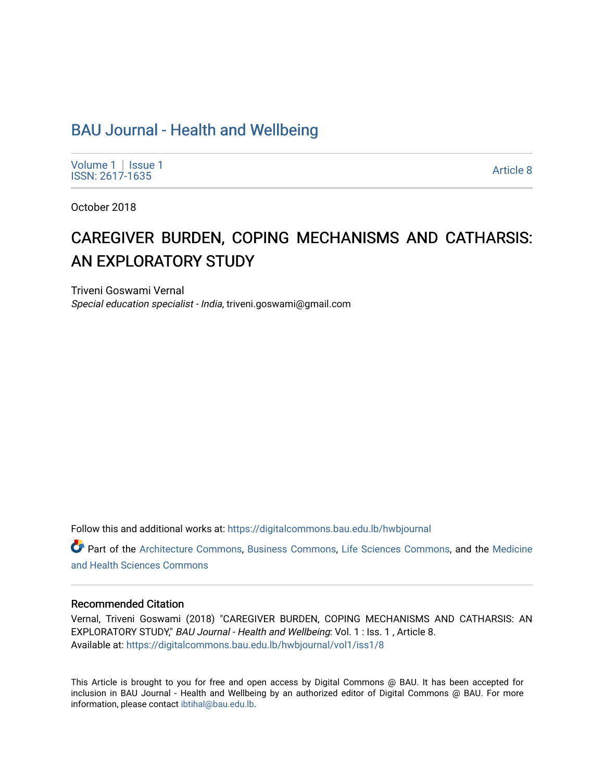## [BAU Journal - Health and Wellbeing](https://digitalcommons.bau.edu.lb/hwbjournal)

[Volume 1](https://digitalcommons.bau.edu.lb/hwbjournal/vol1) | Issue 1 Political Pressure Pressure Pressure Pressure Pressure Pressure Pressure Pressure Pressure Pressure Pressure P<br>ISSN: 2617-1635

October 2018

# CAREGIVER BURDEN, COPING MECHANISMS AND CATHARSIS: AN EXPLORATORY STUDY

Triveni Goswami Vernal Special education specialist - India, triveni.goswami@gmail.com

Follow this and additional works at: [https://digitalcommons.bau.edu.lb/hwbjournal](https://digitalcommons.bau.edu.lb/hwbjournal?utm_source=digitalcommons.bau.edu.lb%2Fhwbjournal%2Fvol1%2Fiss1%2F8&utm_medium=PDF&utm_campaign=PDFCoverPages)

Part of the [Architecture Commons](http://network.bepress.com/hgg/discipline/773?utm_source=digitalcommons.bau.edu.lb%2Fhwbjournal%2Fvol1%2Fiss1%2F8&utm_medium=PDF&utm_campaign=PDFCoverPages), [Business Commons,](http://network.bepress.com/hgg/discipline/622?utm_source=digitalcommons.bau.edu.lb%2Fhwbjournal%2Fvol1%2Fiss1%2F8&utm_medium=PDF&utm_campaign=PDFCoverPages) [Life Sciences Commons](http://network.bepress.com/hgg/discipline/1016?utm_source=digitalcommons.bau.edu.lb%2Fhwbjournal%2Fvol1%2Fiss1%2F8&utm_medium=PDF&utm_campaign=PDFCoverPages), and the [Medicine](http://network.bepress.com/hgg/discipline/648?utm_source=digitalcommons.bau.edu.lb%2Fhwbjournal%2Fvol1%2Fiss1%2F8&utm_medium=PDF&utm_campaign=PDFCoverPages)  [and Health Sciences Commons](http://network.bepress.com/hgg/discipline/648?utm_source=digitalcommons.bau.edu.lb%2Fhwbjournal%2Fvol1%2Fiss1%2F8&utm_medium=PDF&utm_campaign=PDFCoverPages)

### Recommended Citation

Vernal, Triveni Goswami (2018) "CAREGIVER BURDEN, COPING MECHANISMS AND CATHARSIS: AN EXPLORATORY STUDY," BAU Journal - Health and Wellbeing: Vol. 1: Iss. 1, Article 8. Available at: [https://digitalcommons.bau.edu.lb/hwbjournal/vol1/iss1/8](https://digitalcommons.bau.edu.lb/hwbjournal/vol1/iss1/8?utm_source=digitalcommons.bau.edu.lb%2Fhwbjournal%2Fvol1%2Fiss1%2F8&utm_medium=PDF&utm_campaign=PDFCoverPages) 

This Article is brought to you for free and open access by Digital Commons @ BAU. It has been accepted for inclusion in BAU Journal - Health and Wellbeing by an authorized editor of Digital Commons @ BAU. For more information, please contact [ibtihal@bau.edu.lb.](mailto:ibtihal@bau.edu.lb)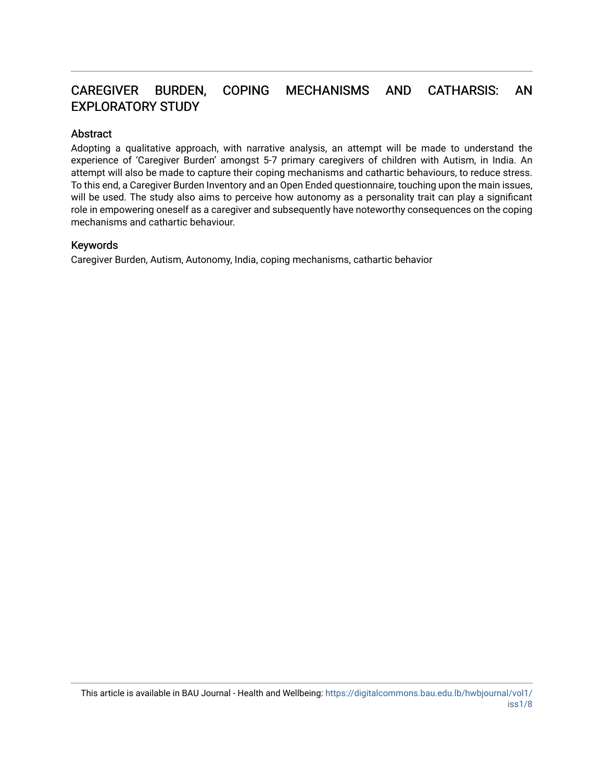## CAREGIVER BURDEN, COPING MECHANISMS AND CATHARSIS: AN EXPLORATORY STUDY

## Abstract

Adopting a qualitative approach, with narrative analysis, an attempt will be made to understand the experience of 'Caregiver Burden' amongst 5-7 primary caregivers of children with Autism, in India. An attempt will also be made to capture their coping mechanisms and cathartic behaviours, to reduce stress. To this end, a Caregiver Burden Inventory and an Open Ended questionnaire, touching upon the main issues, will be used. The study also aims to perceive how autonomy as a personality trait can play a significant role in empowering oneself as a caregiver and subsequently have noteworthy consequences on the coping mechanisms and cathartic behaviour.

## Keywords

Caregiver Burden, Autism, Autonomy, India, coping mechanisms, cathartic behavior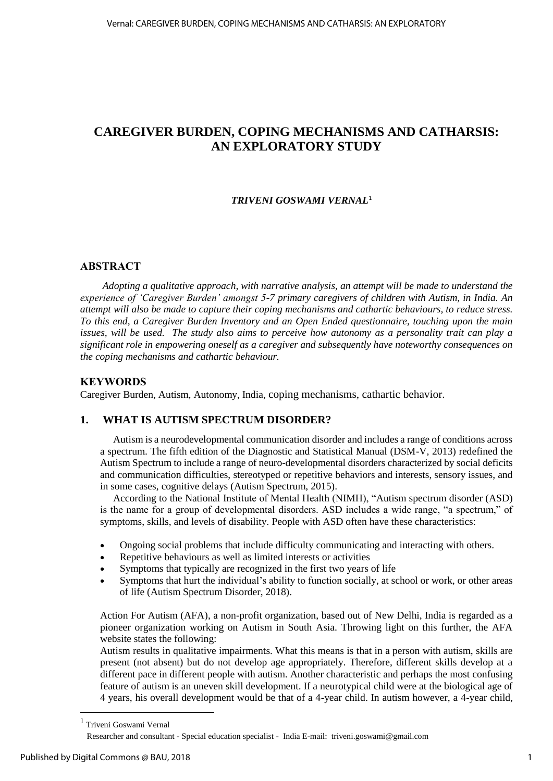## **CAREGIVER BURDEN, COPING MECHANISMS AND CATHARSIS: AN EXPLORATORY STUDY**

## *TRIVENI GOSWAMI VERNAL*<sup>1</sup>

## **ABSTRACT**

*Adopting a qualitative approach, with narrative analysis, an attempt will be made to understand the experience of 'Caregiver Burden' amongst 5-7 primary caregivers of children with Autism, in India. An attempt will also be made to capture their coping mechanisms and cathartic behaviours, to reduce stress. To this end, a Caregiver Burden Inventory and an Open Ended questionnaire, touching upon the main issues, will be used. The study also aims to perceive how autonomy as a personality trait can play a significant role in empowering oneself as a caregiver and subsequently have noteworthy consequences on the coping mechanisms and cathartic behaviour.*

## **KEYWORDS**

Caregiver Burden, Autism, Autonomy, India, coping mechanisms, cathartic behavior.

## **1. WHAT IS AUTISM SPECTRUM DISORDER?**

Autism is a neurodevelopmental communication disorder and includes a range of conditions across a spectrum. The fifth edition of the Diagnostic and Statistical Manual (DSM-V, 2013) redefined the Autism Spectrum to include a range of neuro-developmental disorders characterized by social deficits and communication difficulties, stereotyped or repetitive behaviors and interests, sensory issues, and in some cases, cognitive delays (Autism Spectrum, 2015).

According to the National Institute of Mental Health (NIMH), "Autism spectrum disorder (ASD) is the name for a group of developmental disorders. ASD includes a wide range, "a spectrum," of symptoms, skills, and levels of disability. People with ASD often have these characteristics:

- Ongoing social problems that include difficulty communicating and interacting with others.
- Repetitive behaviours as well as limited interests or activities
- Symptoms that typically are recognized in the first two years of life
- Symptoms that hurt the individual's ability to function socially, at school or work, or other areas of life (Autism Spectrum Disorder, 2018).

Action For Autism (AFA), a non-profit organization, based out of New Delhi, India is regarded as a pioneer organization working on Autism in South Asia. Throwing light on this further, the AFA website states the following:

Autism results in qualitative impairments. What this means is that in a person with autism, skills are present (not absent) but do not develop age appropriately. Therefore, different skills develop at a different pace in different people with autism. Another characteristic and perhaps the most confusing feature of autism is an uneven skill development. If a neurotypical child were at the biological age of 4 years, his overall development would be that of a 4-year child. In autism however, a 4-year child,

 $\overline{\phantom{a}}$ 

<sup>1</sup> Triveni Goswami Vernal

Researcher and consultant - Special education specialist - India E-mail: [triveni.goswami@gmail.com](mailto:triveni.goswami@gmail.com)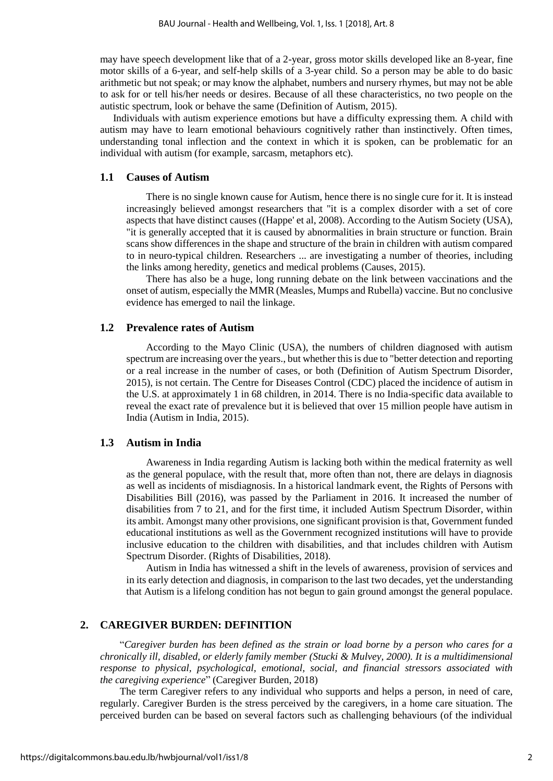may have speech development like that of a 2-year, gross motor skills developed like an 8-year, fine motor skills of a 6-year, and self-help skills of a 3-year child. So a person may be able to do basic arithmetic but not speak; or may know the alphabet, numbers and nursery rhymes, but may not be able to ask for or tell his/her needs or desires. Because of all these characteristics, no two people on the autistic spectrum, look or behave the same (Definition of Autism, 2015).

Individuals with autism experience emotions but have a difficulty expressing them. A child with autism may have to learn emotional behaviours cognitively rather than instinctively. Often times, understanding tonal inflection and the context in which it is spoken, can be problematic for an individual with autism (for example, sarcasm, metaphors etc).

## **1.1 Causes of Autism**

There is no single known cause for Autism, hence there is no single cure for it. It is instead increasingly believed amongst researchers that "it is a complex disorder with a set of core aspects that have distinct causes ((Happe' et al, 2008). According to the Autism Society (USA), "it is generally accepted that it is caused by abnormalities in brain structure or function. Brain scans show differences in the shape and structure of the brain in children with autism compared to in neuro-typical children. Researchers ... are investigating a number of theories, including the links among heredity, genetics and medical problems (Causes, 2015).

There has also be a huge, long running debate on the link between vaccinations and the onset of autism, especially the MMR (Measles, Mumps and Rubella) vaccine. But no conclusive evidence has emerged to nail the linkage.

#### **1.2 Prevalence rates of Autism**

According to the Mayo Clinic (USA), the numbers of children diagnosed with autism spectrum are increasing over the years., but whether this is due to "better detection and reporting or a real increase in the number of cases, or both (Definition of Autism Spectrum Disorder, 2015), is not certain. The Centre for Diseases Control (CDC) placed the incidence of autism in the U.S. at approximately 1 in 68 children, in 2014. There is no India-specific data available to reveal the exact rate of prevalence but it is believed that over 15 million people have autism in India (Autism in India, 2015).

### **1.3 Autism in India**

Awareness in India regarding Autism is lacking both within the medical fraternity as well as the general populace, with the result that, more often than not, there are delays in diagnosis as well as incidents of misdiagnosis. In a historical landmark event, the Rights of Persons with Disabilities Bill (2016), was passed by the Parliament in 2016. It increased the number of disabilities from 7 to 21, and for the first time, it included Autism Spectrum Disorder, within its ambit. Amongst many other provisions, one significant provision is that, Government funded educational institutions as well as the Government recognized institutions will have to provide inclusive education to the children with disabilities, and that includes children with Autism Spectrum Disorder. (Rights of Disabilities, 2018).

Autism in India has witnessed a shift in the levels of awareness, provision of services and in its early detection and diagnosis, in comparison to the last two decades, yet the understanding that Autism is a lifelong condition has not begun to gain ground amongst the general populace.

## **2. CAREGIVER BURDEN: DEFINITION**

"*Caregiver burden has been defined as the strain or load borne by a person who cares for a chronically ill, disabled, or elderly family member (Stucki & Mulvey, 2000). It is a multidimensional response to physical, psychological, emotional, social, and financial stressors associated with the caregiving experience*" (Caregiver Burden, 2018)

The term Caregiver refers to any individual who supports and helps a person, in need of care, regularly. Caregiver Burden is the stress perceived by the caregivers, in a home care situation. The perceived burden can be based on several factors such as challenging behaviours (of the individual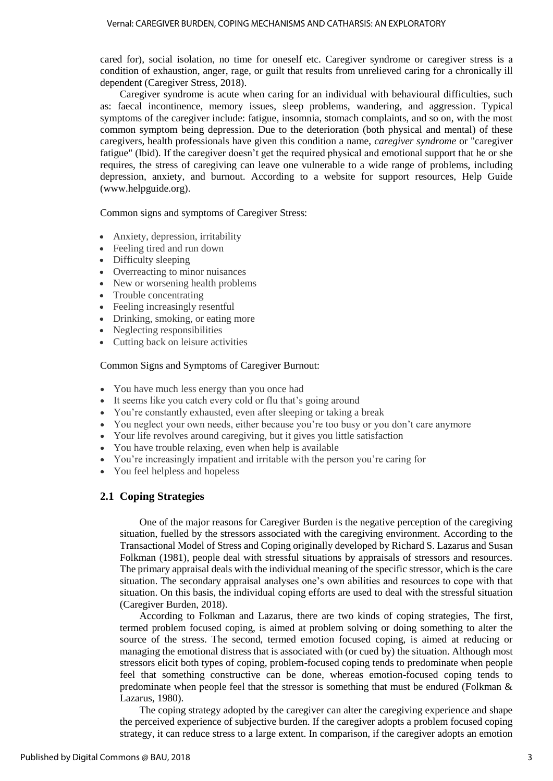cared for), social isolation, no time for oneself etc. Caregiver syndrome or caregiver stress is a condition of exhaustion, anger, rage, or guilt that results from unrelieved caring for a chronically ill dependent (Caregiver Stress, 2018).

Caregiver syndrome is acute when caring for an individual with behavioural difficulties, such as: faecal incontinence, [memory](https://en.wikipedia.org/wiki/Memory) issues, sleep problems, [wandering,](https://en.wikipedia.org/wiki/Wandering_(dementia)) and [aggression.](https://en.wikipedia.org/wiki/Aggression) Typical symptoms of the caregiver include: [fatigue,](https://en.wikipedia.org/wiki/Fatigue_(medical)) [insomnia,](https://en.wikipedia.org/wiki/Insomnia) stomach complaints, and so on, with the most common symptom being [depression.](https://en.wikipedia.org/wiki/Depression_(mood)) Due to the deterioration (both physical and mental) of these caregivers, health professionals have given this condition a name, *caregiver syndrome* or "caregiver fatigue" (Ibid). If the caregiver doesn't get the required physical and emotional support that he or she requires, the stress of caregiving can leave one vulnerable to a wide range of problems, including depression, anxiety, and burnout. According to a website for support resources, Help Guide (www.helpguide.org).

Common signs and symptoms of Caregiver Stress:

- Anxiety, depression, irritability
- Feeling tired and run down
- Difficulty sleeping
- Overreacting to minor nuisances
- New or worsening health problems
- Trouble concentrating
- Feeling increasingly resentful
- Drinking, smoking, or eating more
- Neglecting responsibilities
- Cutting back on leisure activities

#### Common Signs and Symptoms of Caregiver Burnout:

- You have much less energy than you once had
- It seems like you catch every cold or flu that's going around
- You're constantly exhausted, even after sleeping or taking a break
- You neglect your own needs, either because you're too busy or you don't care anymore
- Your life revolves around caregiving, but it gives you little satisfaction
- You have trouble relaxing, even when help is available
- You're increasingly impatient and irritable with the person you're caring for
- You feel helpless and hopeless

#### **2.1 Coping Strategies**

One of the major reasons for Caregiver Burden is the negative perception of the caregiving situation, fuelled by the stressors associated with the caregiving environment. According to the Transactional Model of Stress and Coping originally developed by Richard S. Lazarus and Susan Folkman (1981), people deal with stressful situations by appraisals of stressors and resources. The primary appraisal deals with the individual meaning of the specific stressor, which is the care situation. The secondary appraisal analyses one's own abilities and resources to cope with that situation. On this basis, the individual [coping](https://en.wikipedia.org/wiki/Coping_(psychology)) efforts are used to deal with the stressful situation (Caregiver Burden, 2018).

According to Folkman and Lazarus, there are two kinds of coping strategies, The first, termed problem focused coping, is aimed at problem solving or doing something to alter the source of the stress. The second, termed emotion focused coping, is aimed at reducing or managing the emotional distress that is associated with (or cued by) the situation. Although most stressors elicit both types of coping, problem-focused coping tends to predominate when people feel that something constructive can be done, whereas emotion-focused coping tends to predominate when people feel that the stressor is something that must be endured (Folkman & Lazarus, 1980).

The coping strategy adopted by the caregiver can alter the caregiving experience and shape the perceived experience of subjective burden. If the caregiver adopts a problem focused coping strategy, it can reduce stress to a large extent. In comparison, if the caregiver adopts an emotion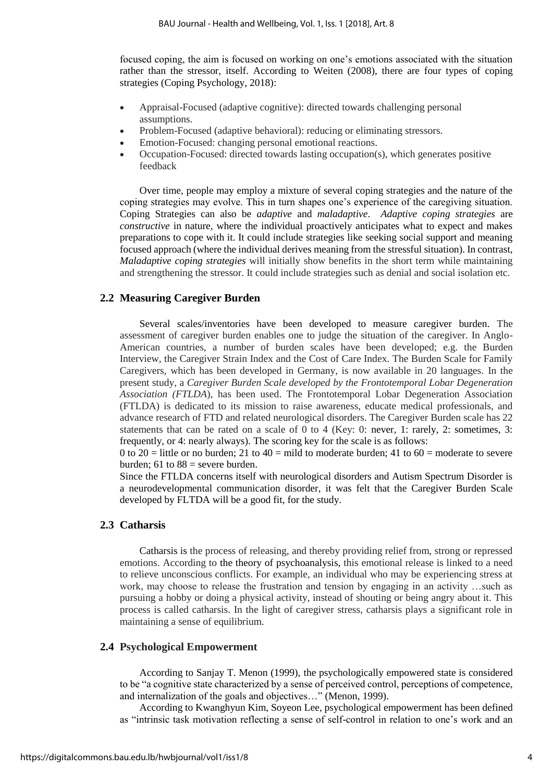focused coping, the aim is focused on working on one's emotions associated with the situation rather than the stressor, itself. According to Weiten (2008), there are four types of coping strategies (Coping Psychology, 2018):

- Appraisal-Focused (adaptive cognitive): directed towards challenging personal assumptions.
- Problem-Focused (adaptive behavioral): reducing or eliminating stressors.
- Emotion-Focused: changing personal emotional reactions.
- Occupation-Focused: directed towards lasting occupation(s), which generates positive feedback

Over time, people may employ a mixture of several coping strategies and the nature of the coping strategies may evolve. This in turn shapes one's experience of the caregiving situation. Coping Strategies can also be *adaptive* and *maladaptive*. *Adaptive coping strategies* are *constructive* in nature, where the individual proactively anticipates what to expect and makes preparations to cope with it. It could include strategies like seeking social support and meaning focused approach (where the individual derives meaning from the stressful situation). In contrast, *Maladaptive coping strategies* will initially show benefits in the short term while maintaining and strengthening the stressor. It could include strategies such as denial and social isolation etc.

## **2.2 Measuring Caregiver Burden**

Several scales/inventories have been developed to measure caregiver burden. The assessment of caregiver burden enables one to judge the situation of the caregiver. In Anglo-American countries, a number of burden scales have been developed; e.g. the Burden Interview, the Caregiver Strain Index and the Cost of Care Index. The Burden Scale for Family Caregivers, which has been developed in Germany, is now available in 20 languages. In the present study, a *Caregiver Burden Scale developed by the Frontotemporal Lobar Degeneration Association (FTLDA*), has been used. The Frontotemporal Lobar Degeneration Association (FTLDA) is dedicated to its mission to raise awareness, educate medical professionals, and advance research of FTD and related neurological disorders. The Caregiver Burden scale has 22 statements that can be rated on a scale of 0 to 4 (Key: 0: never, 1: rarely, 2: sometimes, 3: frequently, or 4: nearly always). The scoring key for the scale is as follows:

0 to 20 = little or no burden; 21 to 40 = mild to moderate burden; 41 to 60 = moderate to severe burden; 61 to  $88$  = severe burden.

Since the FTLDA concerns itself with neurological disorders and Autism Spectrum Disorder is a neurodevelopmental communication disorder, it was felt that the Caregiver Burden Scale developed by FLTDA will be a good fit, for the study.

## **2.3 Catharsis**

Catharsis is the process of releasing, and thereby providing relief from, strong or repressed emotions. According to the theory of psychoanalysis, this emotional release is linked to a need to relieve unconscious conflicts. For example, an individual who may be experiencing stress at work, may choose to release the frustration and tension by engaging in an activity …such as pursuing a hobby or doing a physical activity, instead of shouting or being angry about it. This process is called catharsis. In the light of caregiver stress, catharsis plays a significant role in maintaining a sense of equilibrium.

## **2.4 Psychological Empowerment**

According to Sanjay T. Menon (1999), the psychologically empowered state is considered to be "a cognitive state characterized by a sense of perceived control, perceptions of competence, and internalization of the goals and objectives…" (Menon, 1999).

According to [Kwanghyun Kim,](http://biz.korea.ac.kr/ko/faculty/management/homepage?id=kimk) [Soyeon Lee,](https://joinbain.com/apply-to-bain/bain-on-your-campus/school_welcome.asp?school_id=135) psychological empowerment has been defined as "intrinsic task motivation reflecting a sense of self-control in relation to one's work and an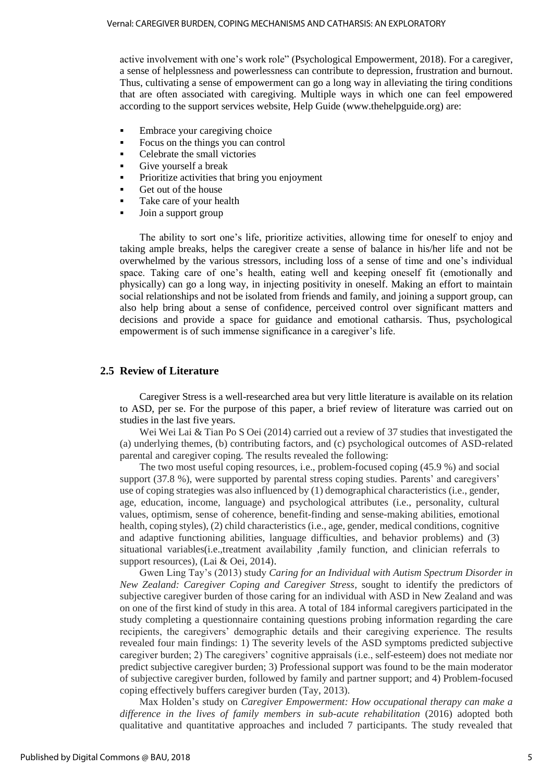active involvement with one's work role" (Psychological Empowerment, 2018). For a caregiver, a sense of helplessness and powerlessness can contribute to depression, frustration and burnout. Thus, cultivating a sense of empowerment can go a long way in alleviating the tiring conditions that are often associated with caregiving. Multiple ways in which one can feel empowered according to the support services website, Help Guide [\(www.thehelpguide.org\)](http://www.thehelpguide.org/) are:

- **Embrace your caregiving choice**
- Focus on the things you can control
- Celebrate the small victories
- Give yourself a break
- Prioritize activities that bring you enjoyment
- Get out of the house
- Take care of your health
- Join a support group

The ability to sort one's life, prioritize activities, allowing time for oneself to enjoy and taking ample breaks, helps the caregiver create a sense of balance in his/her life and not be overwhelmed by the various stressors, including loss of a sense of time and one's individual space. Taking care of one's health, eating well and keeping oneself fit (emotionally and physically) can go a long way, in injecting positivity in oneself. Making an effort to maintain social relationships and not be isolated from friends and family, and joining a support group, can also help bring about a sense of confidence, perceived control over significant matters and decisions and provide a space for guidance and emotional catharsis. Thus, psychological empowerment is of such immense significance in a caregiver's life.

## **2.5 Review of Literature**

Caregiver Stress is a well-researched area but very little literature is available on its relation to ASD, per se. For the purpose of this paper, a brief review of literature was carried out on studies in the last five years.

Wei Wei Lai & Tian Po S Oei (2014) carried out a review of 37 studies that investigated the (a) underlying themes, (b) contributing factors, and (c) psychological outcomes of ASD-related parental and caregiver coping. The results revealed the following:

The two most useful coping resources, i.e., problem-focused coping (45.9 %) and social support (37.8 %), were supported by parental stress coping studies. Parents' and caregivers' use of coping strategies was also influenced by (1) demographical characteristics (i.e., gender, age, education, income, language) and psychological attributes (i.e., personality, cultural values, optimism, sense of coherence, benefit-finding and sense-making abilities, emotional health, coping styles), (2) child characteristics (i.e., age, gender, medical conditions, cognitive and adaptive functioning abilities, language difficulties, and behavior problems) and (3) situational variables(i.e.,treatment availability ,family function, and clinician referrals to support resources), (Lai & Oei, 2014).

Gwen Ling Tay's (2013) study *Caring for an Individual with Autism Spectrum Disorder in New Zealand: Caregiver Coping and Caregiver Stress,* sought to identify the predictors of subjective caregiver burden of those caring for an individual with ASD in New Zealand and was on one of the first kind of study in this area. A total of 184 informal caregivers participated in the study completing a questionnaire containing questions probing information regarding the care recipients, the caregivers' demographic details and their caregiving experience. The results revealed four main findings: 1) The severity levels of the ASD symptoms predicted subjective caregiver burden; 2) The caregivers' cognitive appraisals (i.e., self-esteem) does not mediate nor predict subjective caregiver burden; 3) Professional support was found to be the main moderator of subjective caregiver burden, followed by family and partner support; and 4) Problem-focused coping effectively buffers caregiver burden (Tay, 2013).

Max Holden's study on *Caregiver Empowerment: How occupational therapy can make a difference in the lives of family members in sub-acute rehabilitation* (2016) adopted both qualitative and quantitative approaches and included 7 participants. The study revealed that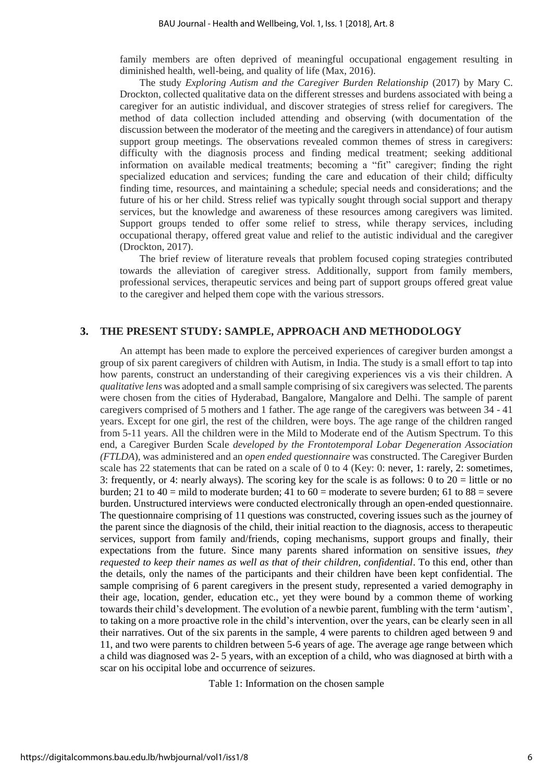family members are often deprived of meaningful occupational engagement resulting in diminished health, well-being, and quality of life (Max, 2016).

The study *Exploring Autism and the Caregiver Burden Relationship* (2017) by Mary C. Drockton, collected qualitative data on the different stresses and burdens associated with being a caregiver for an autistic individual, and discover strategies of stress relief for caregivers. The method of data collection included attending and observing (with documentation of the discussion between the moderator of the meeting and the caregivers in attendance) of four autism support group meetings. The observations revealed common themes of stress in caregivers: difficulty with the diagnosis process and finding medical treatment; seeking additional information on available medical treatments; becoming a "fit" caregiver; finding the right specialized education and services; funding the care and education of their child; difficulty finding time, resources, and maintaining a schedule; special needs and considerations; and the future of his or her child. Stress relief was typically sought through social support and therapy services, but the knowledge and awareness of these resources among caregivers was limited. Support groups tended to offer some relief to stress, while therapy services, including occupational therapy, offered great value and relief to the autistic individual and the caregiver (Drockton, 2017).

The brief review of literature reveals that problem focused coping strategies contributed towards the alleviation of caregiver stress. Additionally, support from family members, professional services, therapeutic services and being part of support groups offered great value to the caregiver and helped them cope with the various stressors.

## **3. THE PRESENT STUDY: SAMPLE, APPROACH AND METHODOLOGY**

An attempt has been made to explore the perceived experiences of caregiver burden amongst a group of six parent caregivers of children with Autism, in India. The study is a small effort to tap into how parents, construct an understanding of their caregiving experiences vis a vis their children. A *qualitative lens* was adopted and a small sample comprising of six caregivers was selected. The parents were chosen from the cities of Hyderabad, Bangalore, Mangalore and Delhi. The sample of parent caregivers comprised of 5 mothers and 1 father. The age range of the caregivers was between 34 - 41 years. Except for one girl, the rest of the children, were boys. The age range of the children ranged from 5-11 years. All the children were in the Mild to Moderate end of the Autism Spectrum. To this end, a Caregiver Burden Scale *developed by the Frontotemporal Lobar Degeneration Association (FTLDA*), was administered and an *open ended questionnaire* was constructed. The Caregiver Burden scale has 22 statements that can be rated on a scale of 0 to 4 (Key: 0: never, 1: rarely, 2: sometimes, 3: frequently, or 4: nearly always). The scoring key for the scale is as follows: 0 to  $20 =$  little or no burden; 21 to 40 = mild to moderate burden; 41 to  $60$  = moderate to severe burden; 61 to 88 = severe burden. Unstructured interviews were conducted electronically through an open-ended questionnaire. The questionnaire comprising of 11 questions was constructed, covering issues such as the journey of the parent since the diagnosis of the child, their initial reaction to the diagnosis, access to therapeutic services, support from family and/friends, coping mechanisms, support groups and finally, their expectations from the future. Since many parents shared information on sensitive issues, *they requested to keep their names as well as that of their children, confidential*. To this end, other than the details, only the names of the participants and their children have been kept confidential. The sample comprising of 6 parent caregivers in the present study, represented a varied demography in their age, location, gender, education etc., yet they were bound by a common theme of working towards their child's development. The evolution of a newbie parent, fumbling with the term 'autism', to taking on a more proactive role in the child's intervention, over the years, can be clearly seen in all their narratives. Out of the six parents in the sample, 4 were parents to children aged between 9 and 11, and two were parents to children between 5-6 years of age. The average age range between which a child was diagnosed was 2- 5 years, with an exception of a child, who was diagnosed at birth with a scar on his occipital lobe and occurrence of seizures.

Table 1: Information on the chosen sample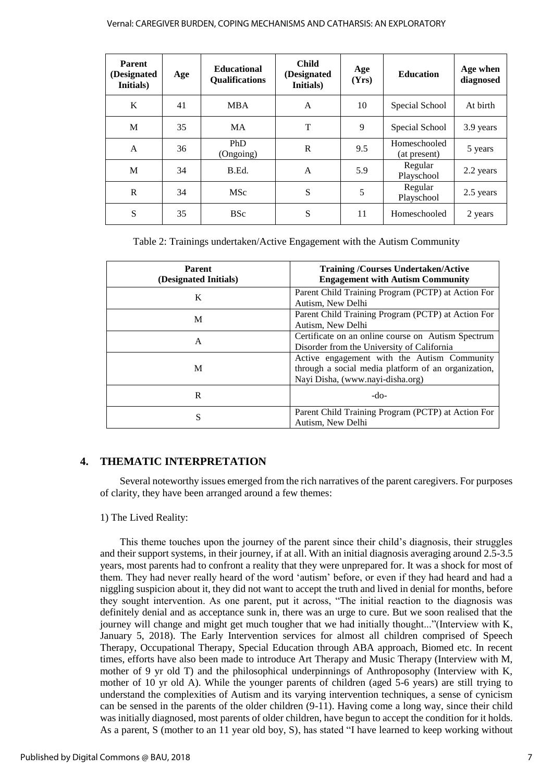#### Vernal: CAREGIVER BURDEN, COPING MECHANISMS AND CATHARSIS: AN EXPLORATORY

| <b>Parent</b><br>(Designated<br>Initials) | Age | <b>Educational</b><br><b>Qualifications</b> | <b>Child</b><br>(Designated<br>Initials) | Age<br>(Yrs) | <b>Education</b>             | Age when<br>diagnosed |
|-------------------------------------------|-----|---------------------------------------------|------------------------------------------|--------------|------------------------------|-----------------------|
| K                                         | 41  | <b>MBA</b>                                  | A                                        | 10           | Special School               | At birth              |
| M                                         | 35  | <b>MA</b>                                   | T                                        | 9            | Special School               | 3.9 years             |
| A                                         | 36  | PhD<br>(Ongoing)                            | R                                        | 9.5          | Homeschooled<br>(at present) | 5 years               |
| M                                         | 34  | B.Ed.                                       | A                                        | 5.9          | Regular<br>Playschool        | 2.2 years             |
| $\mathbf{R}$                              | 34  | <b>MSc</b>                                  | S                                        | 5            | Regular<br>Playschool        | 2.5 years             |
| S                                         | 35  | <b>BSc</b>                                  | S                                        | 11           | Homeschooled                 | 2 years               |

Table 2: Trainings undertaken/Active Engagement with the Autism Community

| <b>Parent</b><br>(Designated Initials) | <b>Training /Courses Undertaken/Active</b><br><b>Engagement with Autism Community</b>                                                  |  |  |
|----------------------------------------|----------------------------------------------------------------------------------------------------------------------------------------|--|--|
| K                                      | Parent Child Training Program (PCTP) at Action For<br>Autism, New Delhi                                                                |  |  |
| M                                      | Parent Child Training Program (PCTP) at Action For<br>Autism, New Delhi                                                                |  |  |
| A                                      | Certificate on an online course on Autism Spectrum<br>Disorder from the University of California                                       |  |  |
| M                                      | Active engagement with the Autism Community<br>through a social media platform of an organization,<br>Nayi Disha, (www.nayi-disha.org) |  |  |
| R                                      | $-do-$                                                                                                                                 |  |  |
| S                                      | Parent Child Training Program (PCTP) at Action For<br>Autism, New Delhi                                                                |  |  |

## **4. THEMATIC INTERPRETATION**

Several noteworthy issues emerged from the rich narratives of the parent caregivers. For purposes of clarity, they have been arranged around a few themes:

## 1) The Lived Reality:

This theme touches upon the journey of the parent since their child's diagnosis, their struggles and their support systems, in their journey, if at all. With an initial diagnosis averaging around 2.5-3.5 years, most parents had to confront a reality that they were unprepared for. It was a shock for most of them. They had never really heard of the word 'autism' before, or even if they had heard and had a niggling suspicion about it, they did not want to accept the truth and lived in denial for months, before they sought intervention. As one parent, put it across, "The initial reaction to the diagnosis was definitely denial and as acceptance sunk in, there was an urge to cure. But we soon realised that the journey will change and might get much tougher that we had initially thought..."(Interview with K, January 5, 2018). The Early Intervention services for almost all children comprised of Speech Therapy, Occupational Therapy, Special Education through ABA approach, Biomed etc. In recent times, efforts have also been made to introduce Art Therapy and Music Therapy (Interview with M, mother of 9 yr old T) and the philosophical underpinnings of Anthroposophy (Interview with K, mother of 10 yr old A). While the younger parents of children (aged 5-6 years) are still trying to understand the complexities of Autism and its varying intervention techniques, a sense of cynicism can be sensed in the parents of the older children (9-11). Having come a long way, since their child was initially diagnosed, most parents of older children, have begun to accept the condition for it holds. As a parent, S (mother to an 11 year old boy, S), has stated "I have learned to keep working without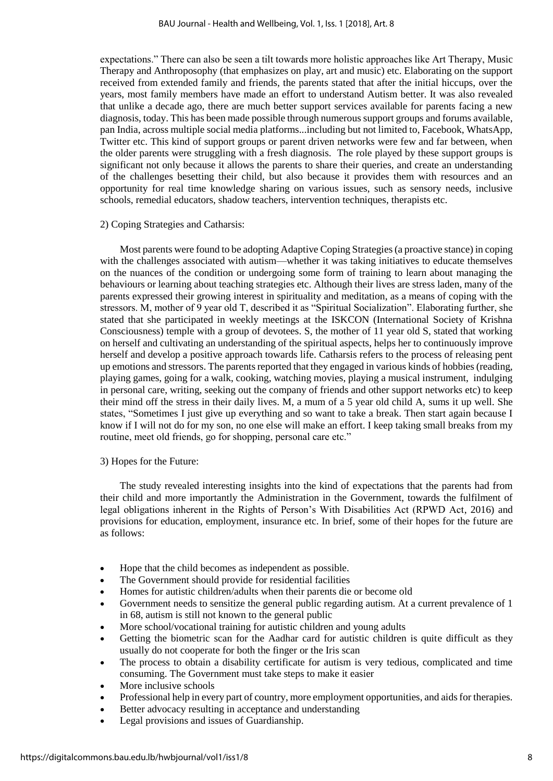expectations." There can also be seen a tilt towards more holistic approaches like Art Therapy, Music Therapy and Anthroposophy (that emphasizes on play, art and music) etc. Elaborating on the support received from extended family and friends, the parents stated that after the initial hiccups, over the years, most family members have made an effort to understand Autism better. It was also revealed that unlike a decade ago, there are much better support services available for parents facing a new diagnosis, today. This has been made possible through numerous support groups and forums available, pan India, across multiple social media platforms...including but not limited to, Facebook, WhatsApp, Twitter etc. This kind of support groups or parent driven networks were few and far between, when the older parents were struggling with a fresh diagnosis. The role played by these support groups is significant not only because it allows the parents to share their queries, and create an understanding of the challenges besetting their child, but also because it provides them with resources and an opportunity for real time knowledge sharing on various issues, such as sensory needs, inclusive schools, remedial educators, shadow teachers, intervention techniques, therapists etc.

### 2) Coping Strategies and Catharsis:

Most parents were found to be adopting Adaptive Coping Strategies (a proactive stance) in coping with the challenges associated with autism—whether it was taking initiatives to educate themselves on the nuances of the condition or undergoing some form of training to learn about managing the behaviours or learning about teaching strategies etc. Although their lives are stress laden, many of the parents expressed their growing interest in spirituality and meditation, as a means of coping with the stressors. M, mother of 9 year old T, described it as "Spiritual Socialization". Elaborating further, she stated that she participated in weekly meetings at the ISKCON (International Society of Krishna Consciousness) temple with a group of devotees. S, the mother of 11 year old S, stated that working on herself and cultivating an understanding of the spiritual aspects, helps her to continuously improve herself and develop a positive approach towards life. Catharsis refers to the process of releasing pent up emotions and stressors. The parents reported that they engaged in various kinds of hobbies (reading, playing games, going for a walk, cooking, watching movies, playing a musical instrument, indulging in personal care, writing, seeking out the company of friends and other support networks etc) to keep their mind off the stress in their daily lives. M, a mum of a 5 year old child A, sums it up well. She states, "Sometimes I just give up everything and so want to take a break. Then start again because I know if I will not do for my son, no one else will make an effort. I keep taking small breaks from my routine, meet old friends, go for shopping, personal care etc."

#### 3) Hopes for the Future:

The study revealed interesting insights into the kind of expectations that the parents had from their child and more importantly the Administration in the Government, towards the fulfilment of legal obligations inherent in the Rights of Person's With Disabilities Act (RPWD Act, 2016) and provisions for education, employment, insurance etc. In brief, some of their hopes for the future are as follows:

- Hope that the child becomes as independent as possible.
- The Government should provide for residential facilities
- Homes for autistic children/adults when their parents die or become old
- Government needs to sensitize the general public regarding autism. At a current prevalence of 1 in 68, autism is still not known to the general public
- More school/vocational training for autistic children and young adults
- Getting the biometric scan for the Aadhar card for autistic children is quite difficult as they usually do not cooperate for both the finger or the Iris scan
- The process to obtain a disability certificate for autism is very tedious, complicated and time consuming. The Government must take steps to make it easier
- More inclusive schools
- Professional help in every part of country, more employment opportunities, and aids for therapies.
- Better advocacy resulting in acceptance and understanding
- Legal provisions and issues of Guardianship.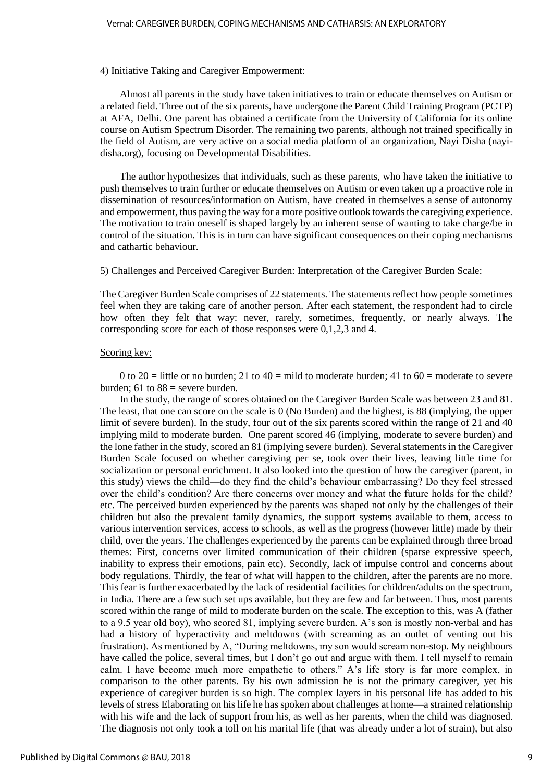#### 4) Initiative Taking and Caregiver Empowerment:

Almost all parents in the study have taken initiatives to train or educate themselves on Autism or a related field. Three out of the six parents, have undergone the Parent Child Training Program (PCTP) at AFA, Delhi. One parent has obtained a certificate from the University of California for its online course on Autism Spectrum Disorder. The remaining two parents, although not trained specifically in the field of Autism, are very active on a social media platform of an organization, Nayi Disha (nayidisha.org), focusing on Developmental Disabilities.

The author hypothesizes that individuals, such as these parents, who have taken the initiative to push themselves to train further or educate themselves on Autism or even taken up a proactive role in dissemination of resources/information on Autism, have created in themselves a sense of autonomy and empowerment, thus paving the way for a more positive outlook towards the caregiving experience. The motivation to train oneself is shaped largely by an inherent sense of wanting to take charge/be in control of the situation. This is in turn can have significant consequences on their coping mechanisms and cathartic behaviour.

5) Challenges and Perceived Caregiver Burden: Interpretation of the Caregiver Burden Scale:

The Caregiver Burden Scale comprises of 22 statements. The statements reflect how people sometimes feel when they are taking care of another person. After each statement, the respondent had to circle how often they felt that way: never, rarely, sometimes, frequently, or nearly always. The corresponding score for each of those responses were 0,1,2,3 and 4.

#### Scoring key:

0 to 20 = little or no burden; 21 to 40 = mild to moderate burden; 41 to 60 = moderate to severe burden; 61 to  $88$  = severe burden.

In the study, the range of scores obtained on the Caregiver Burden Scale was between 23 and 81. The least, that one can score on the scale is 0 (No Burden) and the highest, is 88 (implying, the upper limit of severe burden). In the study, four out of the six parents scored within the range of 21 and 40 implying mild to moderate burden. One parent scored 46 (implying, moderate to severe burden) and the lone father in the study, scored an 81 (implying severe burden). Several statements in the Caregiver Burden Scale focused on whether caregiving per se, took over their lives, leaving little time for socialization or personal enrichment. It also looked into the question of how the caregiver (parent, in this study) views the child—do they find the child's behaviour embarrassing? Do they feel stressed over the child's condition? Are there concerns over money and what the future holds for the child? etc. The perceived burden experienced by the parents was shaped not only by the challenges of their children but also the prevalent family dynamics, the support systems available to them, access to various intervention services, access to schools, as well as the progress (however little) made by their child, over the years. The challenges experienced by the parents can be explained through three broad themes: First, concerns over limited communication of their children (sparse expressive speech, inability to express their emotions, pain etc). Secondly, lack of impulse control and concerns about body regulations. Thirdly, the fear of what will happen to the children, after the parents are no more. This fear is further exacerbated by the lack of residential facilities for children/adults on the spectrum, in India. There are a few such set ups available, but they are few and far between. Thus, most parents scored within the range of mild to moderate burden on the scale. The exception to this, was A (father to a 9.5 year old boy), who scored 81, implying severe burden. A's son is mostly non-verbal and has had a history of hyperactivity and meltdowns (with screaming as an outlet of venting out his frustration). As mentioned by A, "During meltdowns, my son would scream non-stop. My neighbours have called the police, several times, but I don't go out and argue with them. I tell myself to remain calm. I have become much more empathetic to others." A's life story is far more complex, in comparison to the other parents. By his own admission he is not the primary caregiver, yet his experience of caregiver burden is so high. The complex layers in his personal life has added to his levels of stress Elaborating on his life he has spoken about challenges at home—a strained relationship with his wife and the lack of support from his, as well as her parents, when the child was diagnosed. The diagnosis not only took a toll on his marital life (that was already under a lot of strain), but also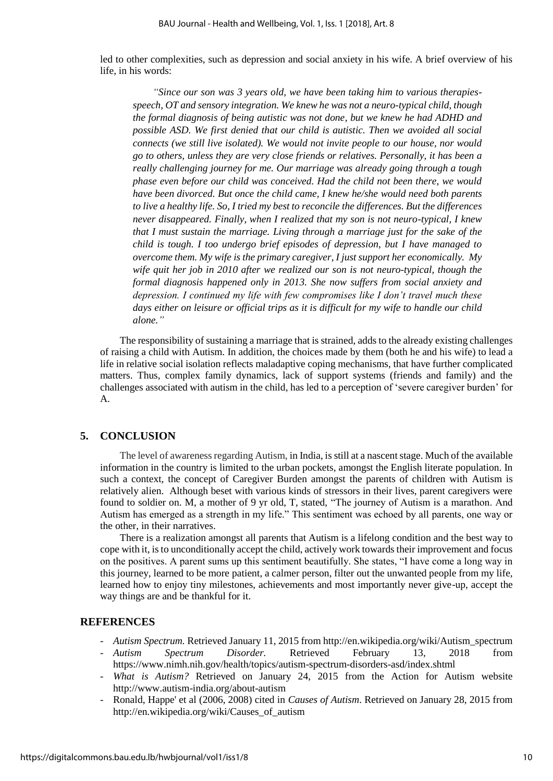led to other complexities, such as depression and social anxiety in his wife. A brief overview of his life, in his words:

*"Since our son was 3 years old, we have been taking him to various therapiesspeech, OT and sensory integration. We knew he was not a neuro-typical child, though the formal diagnosis of being autistic was not done, but we knew he had ADHD and*  possible ASD. We first denied that our child is autistic. Then we avoided all social *connects (we still live isolated). We would not invite people to our house, nor would go to others, unless they are very close friends or relatives. Personally, it has been a really challenging journey for me. Our marriage was already going through a tough phase even before our child was conceived. Had the child not been there, we would have been divorced. But once the child came, I knew he/she would need both parents to live a healthy life. So, I tried my best to reconcile the differences. But the differences never disappeared. Finally, when I realized that my son is not neuro-typical, I knew that I must sustain the marriage. Living through a marriage just for the sake of the child is tough. I too undergo brief episodes of depression, but I have managed to overcome them. My wife is the primary caregiver, I just support her economically. My wife quit her job in 2010 after we realized our son is not neuro-typical, though the formal diagnosis happened only in 2013. She now suffers from social anxiety and depression. I continued my life with few compromises like I don't travel much these days either on leisure or official trips as it is difficult for my wife to handle our child alone."*

The responsibility of sustaining a marriage that is strained, adds to the already existing challenges of raising a child with Autism. In addition, the choices made by them (both he and his wife) to lead a life in relative social isolation reflects maladaptive coping mechanisms, that have further complicated matters. Thus, complex family dynamics, lack of support systems (friends and family) and the challenges associated with autism in the child, has led to a perception of 'severe caregiver burden' for A.

## **5. CONCLUSION**

The level of awareness regarding Autism, in India, is still at a nascent stage. Much of the available information in the country is limited to the urban pockets, amongst the English literate population. In such a context, the concept of Caregiver Burden amongst the parents of children with Autism is relatively alien. Although beset with various kinds of stressors in their lives, parent caregivers were found to soldier on. M, a mother of 9 yr old, T, stated, "The journey of Autism is a marathon. And Autism has emerged as a strength in my life." This sentiment was echoed by all parents, one way or the other, in their narratives.

There is a realization amongst all parents that Autism is a lifelong condition and the best way to cope with it, is to unconditionally accept the child, actively work towards their improvement and focus on the positives. A parent sums up this sentiment beautifully. She states, "I have come a long way in this journey, learned to be more patient, a calmer person, filter out the unwanted people from my life, learned how to enjoy tiny milestones, achievements and most importantly never give-up, accept the way things are and be thankful for it.

#### **REFERENCES**

- *Autism Spectrum.* Retrieved January 11, 2015 from http://en.wikipedia.org/wiki/Autism\_spectrum - *Autism Spectrum Disorder.* Retrieved February 13, 2018 from
- https://www.nimh.nih.gov/health/topics/autism-spectrum-disorders-asd/index.shtml
- *What is Autism?* Retrieved on January 24, 2015 from the Action for Autism website http://www.autism-india.org/about-autism
- Ronald, Happe' et al (2006, 2008) cited in *Causes of Autism*. Retrieved on January 28, 2015 from http://en.wikipedia.org/wiki/Causes\_of\_autism